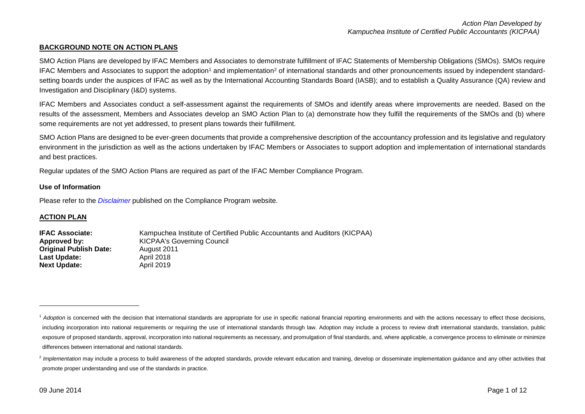### **BACKGROUND NOTE ON ACTION PLANS**

SMO Action Plans are developed by IFAC Members and Associates to demonstrate fulfillment of IFAC Statements of Membership Obligations (SMOs). SMOs require IFAC Members and Associates to support the adoption<sup>1</sup> and implementation<sup>2</sup> of international standards and other pronouncements issued by independent standardsetting boards under the auspices of IFAC as well as by the International Accounting Standards Board (IASB); and to establish a Quality Assurance (QA) review and Investigation and Disciplinary (I&D) systems.

IFAC Members and Associates conduct a self-assessment against the requirements of SMOs and identify areas where improvements are needed. Based on the results of the assessment, Members and Associates develop an SMO Action Plan to (a) demonstrate how they fulfill the requirements of the SMOs and (b) where some requirements are not yet addressed, to present plans towards their fulfillment.

SMO Action Plans are designed to be ever-green documents that provide a comprehensive description of the accountancy profession and its legislative and regulatory environment in the jurisdiction as well as the actions undertaken by IFAC Members or Associates to support adoption and implementation of international standards and best practices.

Regular updates of the SMO Action Plans are required as part of the IFAC Member Compliance Program.

#### **Use of Information**

Please refer to the *[Disclaimer](http://www.ifac.org/about-ifac/membership/members/disclaimer)* published on the Compliance Program website.

#### **ACTION PLAN**

**IFAC Associate:** Kampuchea Institute of Certified Public Accountants and Auditors (KICPAA) **Approved by:** KICPAA's Governing Council **Original Publish Date:** August 2011 Last Update: April 2018 **Next Update:** April 2019

1

<sup>&</sup>lt;sup>1</sup> Adoption is concerned with the decision that international standards are appropriate for use in specific national financial reporting environments and with the actions necessary to effect those decisions, including incorporation into national requirements or requiring the use of international standards through law. Adoption may include a process to review draft international standards, translation, public exposure of proposed standards, approval, incorporation into national requirements as necessary, and promulgation of final standards, and, where applicable, a convergence process to eliminate or minimize differences between international and national standards.

<sup>&</sup>lt;sup>2</sup> Implementation may include a process to build awareness of the adopted standards, provide relevant education and training, develop or disseminate implementation guidance and any other activities that promote proper understanding and use of the standards in practice.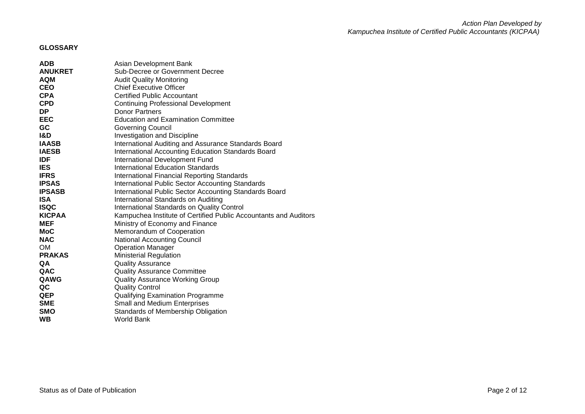# **GLOSSARY**

| <b>ADB</b>     | Asian Development Bank                                           |
|----------------|------------------------------------------------------------------|
| <b>ANUKRET</b> | Sub-Decree or Government Decree                                  |
| <b>AQM</b>     | <b>Audit Quality Monitoring</b>                                  |
| <b>CEO</b>     | <b>Chief Executive Officer</b>                                   |
| <b>CPA</b>     | <b>Certified Public Accountant</b>                               |
| <b>CPD</b>     | <b>Continuing Professional Development</b>                       |
| DP.            | <b>Donor Partners</b>                                            |
| <b>EEC</b>     | <b>Education and Examination Committee</b>                       |
| GC             | Governing Council                                                |
| <b>I&amp;D</b> | <b>Investigation and Discipline</b>                              |
| <b>IAASB</b>   | International Auditing and Assurance Standards Board             |
| <b>IAESB</b>   | International Accounting Education Standards Board               |
| <b>IDF</b>     | International Development Fund                                   |
| <b>IES</b>     | <b>International Education Standards</b>                         |
| <b>IFRS</b>    | International Financial Reporting Standards                      |
| <b>IPSAS</b>   | <b>International Public Sector Accounting Standards</b>          |
| <b>IPSASB</b>  | International Public Sector Accounting Standards Board           |
| <b>ISA</b>     | International Standards on Auditing                              |
| <b>ISQC</b>    | International Standards on Quality Control                       |
| <b>KICPAA</b>  | Kampuchea Institute of Certified Public Accountants and Auditors |
| <b>MEF</b>     | Ministry of Economy and Finance                                  |
| <b>MoC</b>     | Memorandum of Cooperation                                        |
| <b>NAC</b>     | <b>National Accounting Council</b>                               |
| <b>OM</b>      | <b>Operation Manager</b>                                         |
| <b>PRAKAS</b>  | <b>Ministerial Regulation</b>                                    |
| QA             | <b>Quality Assurance</b>                                         |
| QAC            | <b>Quality Assurance Committee</b>                               |
| QAWG           | <b>Quality Assurance Working Group</b>                           |
| QC             | <b>Quality Control</b>                                           |
| <b>QEP</b>     | <b>Qualifying Examination Programme</b>                          |
| <b>SME</b>     | <b>Small and Medium Enterprises</b>                              |
| <b>SMO</b>     | Standards of Membership Obligation                               |
| <b>WB</b>      | World Bank                                                       |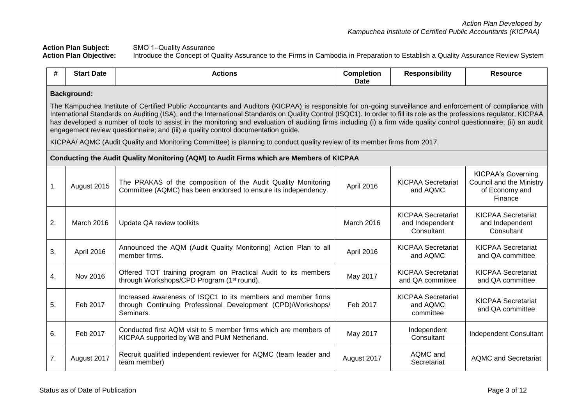Action Plan Subject: SMO 1–Quality Assurance<br>**Action Plan Objective:** Introduce the Concept of Q **Action Plan Objective:** Introduce the Concept of Quality Assurance to the Firms in Cambodia in Preparation to Establish a Quality Assurance Review System

| #              | <b>Start Date</b>                                                                                                                                                                                                                                                                                                                                                                                                                                                                                                                                                                                                                                                                                                                                  | <b>Actions</b>                                                                                                                            | <b>Completion</b><br><b>Date</b> | <b>Responsibility</b>                                      | <b>Resource</b>                                                                    |
|----------------|----------------------------------------------------------------------------------------------------------------------------------------------------------------------------------------------------------------------------------------------------------------------------------------------------------------------------------------------------------------------------------------------------------------------------------------------------------------------------------------------------------------------------------------------------------------------------------------------------------------------------------------------------------------------------------------------------------------------------------------------------|-------------------------------------------------------------------------------------------------------------------------------------------|----------------------------------|------------------------------------------------------------|------------------------------------------------------------------------------------|
|                | <b>Background:</b><br>The Kampuchea Institute of Certified Public Accountants and Auditors (KICPAA) is responsible for on-going surveillance and enforcement of compliance with<br>International Standards on Auditing (ISA), and the International Standards on Quality Control (ISQC1). In order to fill its role as the professions regulator, KICPAA<br>has developed a number of tools to assist in the monitoring and evaluation of auditing firms including (i) a firm wide quality control questionnaire; (ii) an audit<br>engagement review questionnaire; and (iii) a quality control documentation guide.<br>KICPAA/ AQMC (Audit Quality and Monitoring Committee) is planning to conduct quality review of its member firms from 2017. |                                                                                                                                           |                                  |                                                            |                                                                                    |
|                |                                                                                                                                                                                                                                                                                                                                                                                                                                                                                                                                                                                                                                                                                                                                                    | Conducting the Audit Quality Monitoring (AQM) to Audit Firms which are Members of KICPAA                                                  |                                  |                                                            |                                                                                    |
| 1.             | August 2015                                                                                                                                                                                                                                                                                                                                                                                                                                                                                                                                                                                                                                                                                                                                        | The PRAKAS of the composition of the Audit Quality Monitoring<br>Committee (AQMC) has been endorsed to ensure its independency.           | April 2016                       | <b>KICPAA Secretariat</b><br>and AQMC                      | <b>KICPAA's Governing</b><br>Council and the Ministry<br>of Economy and<br>Finance |
| 2.             | March 2016                                                                                                                                                                                                                                                                                                                                                                                                                                                                                                                                                                                                                                                                                                                                         | Update QA review toolkits                                                                                                                 | March 2016                       | <b>KICPAA Secretariat</b><br>and Independent<br>Consultant | <b>KICPAA Secretariat</b><br>and Independent<br>Consultant                         |
| 3.             | April 2016                                                                                                                                                                                                                                                                                                                                                                                                                                                                                                                                                                                                                                                                                                                                         | Announced the AQM (Audit Quality Monitoring) Action Plan to all<br>member firms.                                                          | April 2016                       | <b>KICPAA Secretariat</b><br>and AQMC                      | <b>KICPAA Secretariat</b><br>and QA committee                                      |
| $\mathbf{4}$ . | Nov 2016                                                                                                                                                                                                                                                                                                                                                                                                                                                                                                                                                                                                                                                                                                                                           | Offered TOT training program on Practical Audit to its members<br>through Workshops/CPD Program (1 <sup>st</sup> round).                  | May 2017                         | <b>KICPAA Secretariat</b><br>and QA committee              | <b>KICPAA Secretariat</b><br>and QA committee                                      |
| 5.             | Feb 2017                                                                                                                                                                                                                                                                                                                                                                                                                                                                                                                                                                                                                                                                                                                                           | Increased awareness of ISQC1 to its members and member firms<br>through Continuing Professional Development (CPD)/Workshops/<br>Seminars. | Feb 2017                         | <b>KICPAA Secretariat</b><br>and AQMC<br>committee         | <b>KICPAA Secretariat</b><br>and QA committee                                      |
| 6.             | Feb 2017                                                                                                                                                                                                                                                                                                                                                                                                                                                                                                                                                                                                                                                                                                                                           | Conducted first AQM visit to 5 member firms which are members of<br>KICPAA supported by WB and PUM Netherland.                            | May 2017                         | Independent<br>Consultant                                  | <b>Independent Consultant</b>                                                      |
| 7.             | August 2017                                                                                                                                                                                                                                                                                                                                                                                                                                                                                                                                                                                                                                                                                                                                        | Recruit qualified independent reviewer for AQMC (team leader and<br>team member)                                                          | August 2017                      | AQMC and<br>Secretariat                                    | <b>AQMC and Secretariat</b>                                                        |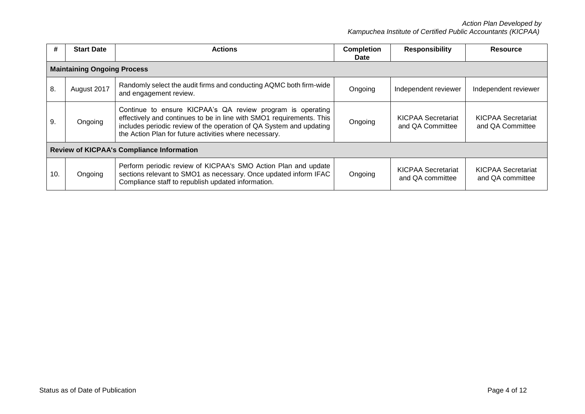*Action Plan Developed by Kampuchea Institute of Certified Public Accountants (KICPAA)*

| #                                                | <b>Start Date</b>                  | <b>Actions</b>                                                                                                                                                                                                                                                      | <b>Completion</b><br><b>Date</b> | <b>Responsibility</b>                         | <b>Resource</b>                               |  |
|--------------------------------------------------|------------------------------------|---------------------------------------------------------------------------------------------------------------------------------------------------------------------------------------------------------------------------------------------------------------------|----------------------------------|-----------------------------------------------|-----------------------------------------------|--|
|                                                  | <b>Maintaining Ongoing Process</b> |                                                                                                                                                                                                                                                                     |                                  |                                               |                                               |  |
| 8.                                               | August 2017                        | Randomly select the audit firms and conducting AQMC both firm-wide<br>and engagement review.                                                                                                                                                                        | Ongoing                          | Independent reviewer                          | Independent reviewer                          |  |
| 9.                                               | Ongoing                            | Continue to ensure KICPAA's QA review program is operating<br>effectively and continues to be in line with SMO1 requirements. This<br>includes periodic review of the operation of QA System and updating<br>the Action Plan for future activities where necessary. | Ongoing                          | <b>KICPAA Secretariat</b><br>and QA Committee | <b>KICPAA Secretariat</b><br>and QA Committee |  |
| <b>Review of KICPAA's Compliance Information</b> |                                    |                                                                                                                                                                                                                                                                     |                                  |                                               |                                               |  |
| 10.                                              | Ongoing                            | Perform periodic review of KICPAA's SMO Action Plan and update<br>sections relevant to SMO1 as necessary. Once updated inform IFAC<br>Compliance staff to republish updated information.                                                                            | Ongoing                          | <b>KICPAA Secretariat</b><br>and QA committee | <b>KICPAA Secretariat</b><br>and QA committee |  |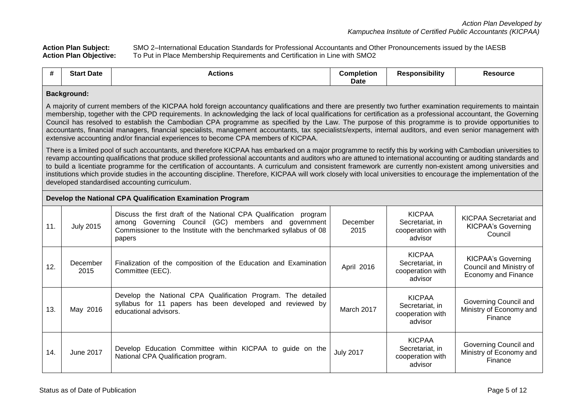Action Plan Subject: SMO 2–International Education Standards for Professional Accountants and Other Pronouncements issued by the IAESB<br>**Action Plan Objective:** To Put in Place Membership Requirements and Certification in L **Action Plan Objective:** To Put in Place Membership Requirements and Certification in Line with SMO2

| л.<br> | Star<br>: Date | Actions | Completion | *ponsibility<br><i>.</i> | 'esource |
|--------|----------------|---------|------------|--------------------------|----------|
|        |                |         | Date       |                          |          |

#### **Background:**

A majority of current members of the KICPAA hold foreign accountancy qualifications and there are presently two further examination requirements to maintain membership, together with the CPD requirements. In acknowledging the lack of local qualifications for certification as a professional accountant, the Governing Council has resolved to establish the Cambodian CPA programme as specified by the Law. The purpose of this programme is to provide opportunities to accountants, financial managers, financial specialists, management accountants, tax specialists/experts, internal auditors, and even senior management with extensive accounting and/or financial experiences to become CPA members of KICPAA.

There is a limited pool of such accountants, and therefore KICPAA has embarked on a major programme to rectify this by working with Cambodian universities to revamp accounting qualifications that produce skilled professional accountants and auditors who are attuned to international accounting or auditing standards and to build a licentiate programme for the certification of accountants. A curriculum and consistent framework are currently non-existent among universities and institutions which provide studies in the accounting discipline. Therefore, KICPAA will work closely with local universities to encourage the implementation of the developed standardised accounting curriculum.

#### **Develop the National CPA Qualification Examination Program**

| 11. | <b>July 2015</b> | Discuss the first draft of the National CPA Qualification<br>program<br>Governing Council (GC) members and government<br>among<br>Commissioner to the Institute with the benchmarked syllabus of 08<br>papers | December<br>2015 | <b>KICPAA</b><br>Secretariat, in<br>cooperation with<br>advisor | <b>KICPAA Secretariat and</b><br><b>KICPAA's Governing</b><br>Council       |
|-----|------------------|---------------------------------------------------------------------------------------------------------------------------------------------------------------------------------------------------------------|------------------|-----------------------------------------------------------------|-----------------------------------------------------------------------------|
| 12. | December<br>2015 | Finalization of the composition of the Education and Examination<br>Committee (EEC).                                                                                                                          | April 2016       | <b>KICPAA</b><br>Secretariat, in<br>cooperation with<br>advisor | KICPAA's Governing<br>Council and Ministry of<br><b>Economy and Finance</b> |
| 13. | May 2016         | Develop the National CPA Qualification Program. The detailed<br>syllabus for 11 papers has been developed and reviewed by<br>educational advisors.                                                            | March 2017       | <b>KICPAA</b><br>Secretariat, in<br>cooperation with<br>advisor | Governing Council and<br>Ministry of Economy and<br>Finance                 |
| 14. | June 2017        | Develop Education Committee within KICPAA to guide on the<br>National CPA Qualification program.                                                                                                              | <b>July 2017</b> | <b>KICPAA</b><br>Secretariat, in<br>cooperation with<br>advisor | Governing Council and<br>Ministry of Economy and<br>Finance                 |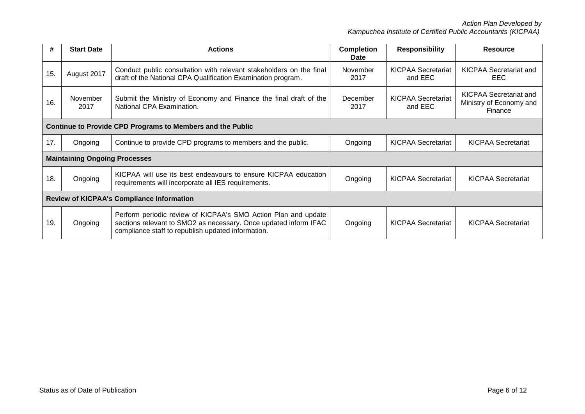*Action Plan Developed by Kampuchea Institute of Certified Public Accountants (KICPAA)*

| #                                                | <b>Start Date</b>                                                 | <b>Actions</b>                                                                                                                                                                           | <b>Completion</b><br>Date | <b>Responsibility</b>                | <b>Resource</b>                                                     |  |
|--------------------------------------------------|-------------------------------------------------------------------|------------------------------------------------------------------------------------------------------------------------------------------------------------------------------------------|---------------------------|--------------------------------------|---------------------------------------------------------------------|--|
| 15.                                              | August 2017                                                       | Conduct public consultation with relevant stakeholders on the final<br>draft of the National CPA Qualification Examination program.                                                      | November<br>2017          | <b>KICPAA Secretariat</b><br>and EEC | <b>KICPAA Secretariat and</b><br>EEC.                               |  |
| 16.                                              | November<br>2017                                                  | Submit the Ministry of Economy and Finance the final draft of the<br>National CPA Examination.                                                                                           | December<br>2017          | <b>KICPAA Secretariat</b><br>and EEC | <b>KICPAA Secretariat and</b><br>Ministry of Economy and<br>Finance |  |
|                                                  | <b>Continue to Provide CPD Programs to Members and the Public</b> |                                                                                                                                                                                          |                           |                                      |                                                                     |  |
| 17.                                              | Ongoing                                                           | Continue to provide CPD programs to members and the public.                                                                                                                              | Ongoing                   | <b>KICPAA Secretariat</b>            | <b>KICPAA Secretariat</b>                                           |  |
|                                                  | <b>Maintaining Ongoing Processes</b>                              |                                                                                                                                                                                          |                           |                                      |                                                                     |  |
| 18.                                              | Ongoing                                                           | KICPAA will use its best endeavours to ensure KICPAA education<br>requirements will incorporate all IES requirements.                                                                    | Ongoing                   | <b>KICPAA Secretariat</b>            | <b>KICPAA Secretariat</b>                                           |  |
| <b>Review of KICPAA's Compliance Information</b> |                                                                   |                                                                                                                                                                                          |                           |                                      |                                                                     |  |
| 19.                                              | Ongoing                                                           | Perform periodic review of KICPAA's SMO Action Plan and update<br>sections relevant to SMO2 as necessary. Once updated inform IFAC<br>compliance staff to republish updated information. | Ongoing                   | KICPAA Secretariat                   | <b>KICPAA Secretariat</b>                                           |  |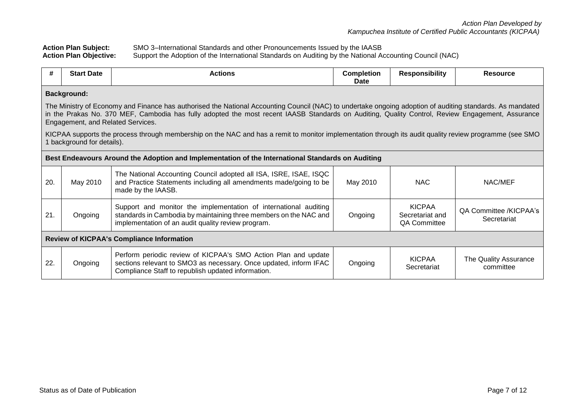| <b>Action Plan Subject:</b>   | SMO 3–International Standards and other Pronouncements Issued by the IAASB                               |
|-------------------------------|----------------------------------------------------------------------------------------------------------|
| <b>Action Plan Objective:</b> | Support the Adoption of the International Standards on Auditing by the National Accounting Council (NAC) |

| #                                                | <b>Start Date</b>                                                                                                                                                                                                                                                                                                                                  | <b>Actions</b>                                                                                                                                                                              | <b>Completion</b><br>Date | <b>Responsibility</b>                                   | <b>Resource</b>                       |
|--------------------------------------------------|----------------------------------------------------------------------------------------------------------------------------------------------------------------------------------------------------------------------------------------------------------------------------------------------------------------------------------------------------|---------------------------------------------------------------------------------------------------------------------------------------------------------------------------------------------|---------------------------|---------------------------------------------------------|---------------------------------------|
| <b>Background:</b>                               |                                                                                                                                                                                                                                                                                                                                                    |                                                                                                                                                                                             |                           |                                                         |                                       |
|                                                  | The Ministry of Economy and Finance has authorised the National Accounting Council (NAC) to undertake ongoing adoption of auditing standards. As mandated<br>in the Prakas No. 370 MEF, Cambodia has fully adopted the most recent IAASB Standards on Auditing, Quality Control, Review Engagement, Assurance<br>Engagement, and Related Services. |                                                                                                                                                                                             |                           |                                                         |                                       |
|                                                  | 1 background for details).                                                                                                                                                                                                                                                                                                                         | KICPAA supports the process through membership on the NAC and has a remit to monitor implementation through its audit quality review programme (see SMO                                     |                           |                                                         |                                       |
|                                                  |                                                                                                                                                                                                                                                                                                                                                    | Best Endeavours Around the Adoption and Implementation of the International Standards on Auditing                                                                                           |                           |                                                         |                                       |
| 20.                                              | May 2010                                                                                                                                                                                                                                                                                                                                           | The National Accounting Council adopted all ISA, ISRE, ISAE, ISQC<br>and Practice Statements including all amendments made/going to be<br>made by the IAASB.                                | May 2010                  | <b>NAC</b>                                              | NAC/MEF                               |
| 21.                                              | Ongoing                                                                                                                                                                                                                                                                                                                                            | Support and monitor the implementation of international auditing<br>standards in Cambodia by maintaining three members on the NAC and<br>implementation of an audit quality review program. | Ongoing                   | <b>KICPAA</b><br>Secretariat and<br><b>QA Committee</b> | QA Committee /KICPAA's<br>Secretariat |
| <b>Review of KICPAA's Compliance Information</b> |                                                                                                                                                                                                                                                                                                                                                    |                                                                                                                                                                                             |                           |                                                         |                                       |
| 22.                                              | Ongoing                                                                                                                                                                                                                                                                                                                                            | Perform periodic review of KICPAA's SMO Action Plan and update<br>sections relevant to SMO3 as necessary. Once updated, inform IFAC<br>Compliance Staff to republish updated information.   | Ongoing                   | <b>KICPAA</b><br>Secretariat                            | The Quality Assurance<br>committee    |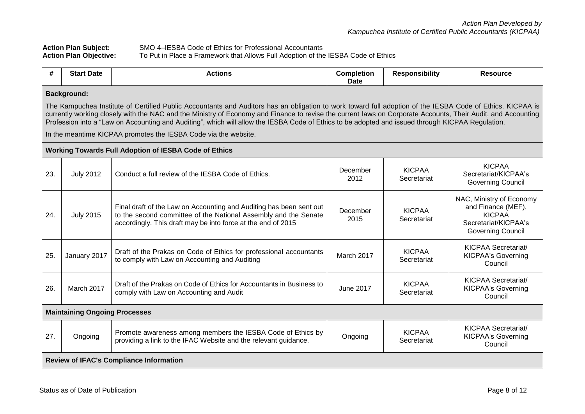| <b>Action Plan Subject:</b>   | SMO 4–IESBA Code of Ethics for Professional Accountants                           |
|-------------------------------|-----------------------------------------------------------------------------------|
| <b>Action Plan Objective:</b> | To Put in Place a Framework that Allows Full Adoption of the IESBA Code of Ethics |

| #   | <b>Start Date</b>                                                                                                                                                                                                                                                                                                                                                                                                                                                                                                                                                        | <b>Actions</b>                                                                                                                                                                                         | <b>Completion</b><br><b>Date</b> | <b>Responsibility</b>        | <b>Resource</b>                                                                                                     |  |
|-----|--------------------------------------------------------------------------------------------------------------------------------------------------------------------------------------------------------------------------------------------------------------------------------------------------------------------------------------------------------------------------------------------------------------------------------------------------------------------------------------------------------------------------------------------------------------------------|--------------------------------------------------------------------------------------------------------------------------------------------------------------------------------------------------------|----------------------------------|------------------------------|---------------------------------------------------------------------------------------------------------------------|--|
|     | <b>Background:</b><br>The Kampuchea Institute of Certified Public Accountants and Auditors has an obligation to work toward full adoption of the IESBA Code of Ethics. KICPAA is<br>currently working closely with the NAC and the Ministry of Economy and Finance to revise the current laws on Corporate Accounts, Their Audit, and Accounting<br>Profession into a "Law on Accounting and Auditing", which will allow the IESBA Code of Ethics to be adopted and issued through KICPAA Regulation.<br>In the meantime KICPAA promotes the IESBA Code via the website. |                                                                                                                                                                                                        |                                  |                              |                                                                                                                     |  |
|     |                                                                                                                                                                                                                                                                                                                                                                                                                                                                                                                                                                          | <b>Working Towards Full Adoption of IESBA Code of Ethics</b>                                                                                                                                           |                                  |                              |                                                                                                                     |  |
| 23. | <b>July 2012</b>                                                                                                                                                                                                                                                                                                                                                                                                                                                                                                                                                         | Conduct a full review of the IESBA Code of Ethics.                                                                                                                                                     | December<br>2012                 | <b>KICPAA</b><br>Secretariat | <b>KICPAA</b><br>Secretariat/KICPAA's<br><b>Governing Council</b>                                                   |  |
| 24. | <b>July 2015</b>                                                                                                                                                                                                                                                                                                                                                                                                                                                                                                                                                         | Final draft of the Law on Accounting and Auditing has been sent out<br>to the second committee of the National Assembly and the Senate<br>accordingly. This draft may be into force at the end of 2015 | December<br>2015                 | <b>KICPAA</b><br>Secretariat | NAC, Ministry of Economy<br>and Finance (MEF),<br><b>KICPAA</b><br>Secretariat/KICPAA's<br><b>Governing Council</b> |  |
| 25. | January 2017                                                                                                                                                                                                                                                                                                                                                                                                                                                                                                                                                             | Draft of the Prakas on Code of Ethics for professional accountants<br>to comply with Law on Accounting and Auditing                                                                                    | March 2017                       | <b>KICPAA</b><br>Secretariat | KICPAA Secretariat/<br><b>KICPAA's Governing</b><br>Council                                                         |  |
| 26. | March 2017                                                                                                                                                                                                                                                                                                                                                                                                                                                                                                                                                               | Draft of the Prakas on Code of Ethics for Accountants in Business to<br>comply with Law on Accounting and Audit                                                                                        | <b>June 2017</b>                 | <b>KICPAA</b><br>Secretariat | KICPAA Secretariat/<br><b>KICPAA's Governing</b><br>Council                                                         |  |
|     | <b>Maintaining Ongoing Processes</b>                                                                                                                                                                                                                                                                                                                                                                                                                                                                                                                                     |                                                                                                                                                                                                        |                                  |                              |                                                                                                                     |  |
| 27. | Ongoing                                                                                                                                                                                                                                                                                                                                                                                                                                                                                                                                                                  | Promote awareness among members the IESBA Code of Ethics by<br>providing a link to the IFAC Website and the relevant guidance.                                                                         | Ongoing                          | <b>KICPAA</b><br>Secretariat | <b>KICPAA Secretariat/</b><br><b>KICPAA's Governing</b><br>Council                                                  |  |
|     |                                                                                                                                                                                                                                                                                                                                                                                                                                                                                                                                                                          | <b>Review of IFAC's Compliance Information</b>                                                                                                                                                         |                                  |                              |                                                                                                                     |  |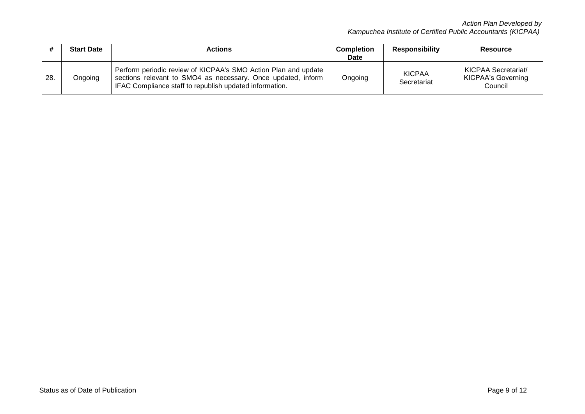|     | <b>Start Date</b> | Actions                                                                                                                                                                                   | <b>Completion</b><br>Date | <b>Responsibility</b>        | <b>Resource</b>                                                    |
|-----|-------------------|-------------------------------------------------------------------------------------------------------------------------------------------------------------------------------------------|---------------------------|------------------------------|--------------------------------------------------------------------|
| 28. | Ongoing           | Perform periodic review of KICPAA's SMO Action Plan and update<br>sections relevant to SMO4 as necessary. Once updated, inform<br>IFAC Compliance staff to republish updated information. | Ongoing                   | <b>KICPAA</b><br>Secretariat | <b>KICPAA Secretariat/</b><br><b>KICPAA's Governing</b><br>Council |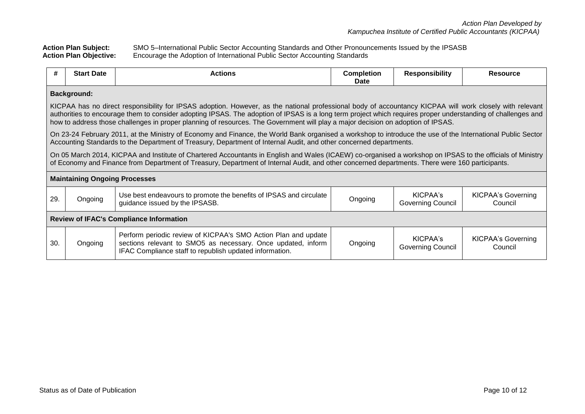**Action Plan Subject:** SMO 5–International Public Sector Accounting Standards and Other Pronouncements Issued by the IPSASB **Action Plan Objective:** Encourage the Adoption of International Public Sector Accounting Standards

| #                                              | <b>Start Date</b>                                                                                                                                                                                                                                                                                                                                                                                                                                            | <b>Actions</b>                                                                                                                                                                                                                                                                                                | <b>Completion</b><br>Date | <b>Responsibility</b>                | Resource                             |  |  |
|------------------------------------------------|--------------------------------------------------------------------------------------------------------------------------------------------------------------------------------------------------------------------------------------------------------------------------------------------------------------------------------------------------------------------------------------------------------------------------------------------------------------|---------------------------------------------------------------------------------------------------------------------------------------------------------------------------------------------------------------------------------------------------------------------------------------------------------------|---------------------------|--------------------------------------|--------------------------------------|--|--|
|                                                | <b>Background:</b>                                                                                                                                                                                                                                                                                                                                                                                                                                           |                                                                                                                                                                                                                                                                                                               |                           |                                      |                                      |  |  |
|                                                | KICPAA has no direct responsibility for IPSAS adoption. However, as the national professional body of accountancy KICPAA will work closely with relevant<br>authorities to encourage them to consider adopting IPSAS. The adoption of IPSAS is a long term project which requires proper understanding of challenges and<br>how to address those challenges in proper planning of resources. The Government will play a major decision on adoption of IPSAS. |                                                                                                                                                                                                                                                                                                               |                           |                                      |                                      |  |  |
|                                                |                                                                                                                                                                                                                                                                                                                                                                                                                                                              | On 23-24 February 2011, at the Ministry of Economy and Finance, the World Bank organised a workshop to introduce the use of the International Public Sector<br>Accounting Standards to the Department of Treasury, Department of Internal Audit, and other concerned departments.                             |                           |                                      |                                      |  |  |
|                                                |                                                                                                                                                                                                                                                                                                                                                                                                                                                              | On 05 March 2014, KICPAA and Institute of Chartered Accountants in English and Wales (ICAEW) co-organised a workshop on IPSAS to the officials of Ministry<br>of Economy and Finance from Department of Treasury, Department of Internal Audit, and other concerned departments. There were 160 participants. |                           |                                      |                                      |  |  |
|                                                | <b>Maintaining Ongoing Processes</b>                                                                                                                                                                                                                                                                                                                                                                                                                         |                                                                                                                                                                                                                                                                                                               |                           |                                      |                                      |  |  |
| 29.                                            | Ongoing                                                                                                                                                                                                                                                                                                                                                                                                                                                      | Use best endeavours to promote the benefits of IPSAS and circulate<br>guidance issued by the IPSASB.                                                                                                                                                                                                          | Ongoing                   | KICPAA's<br><b>Governing Council</b> | <b>KICPAA's Governing</b><br>Council |  |  |
| <b>Review of IFAC's Compliance Information</b> |                                                                                                                                                                                                                                                                                                                                                                                                                                                              |                                                                                                                                                                                                                                                                                                               |                           |                                      |                                      |  |  |
| 30.                                            | Ongoing                                                                                                                                                                                                                                                                                                                                                                                                                                                      | Perform periodic review of KICPAA's SMO Action Plan and update<br>sections relevant to SMO5 as necessary. Once updated, inform<br>IFAC Compliance staff to republish updated information.                                                                                                                     | Ongoing                   | KICPAA's<br><b>Governing Council</b> | <b>KICPAA's Governing</b><br>Council |  |  |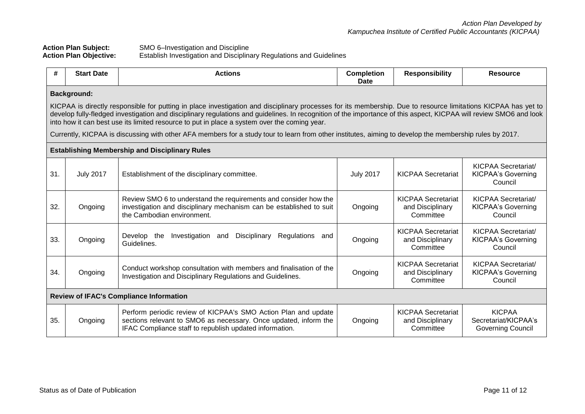## **Action Plan Subject:** SMO 6–Investigation and Discipline **Action Plan Objective:** Establish Investigation and Disciplinary Regulations and Guidelines

| #                                                                                                                                                                                                                                                                                                                                                                                                                                    | <b>Start Date</b> | <b>Actions</b>                                                                                                                                                                                | <b>Completion</b><br><b>Date</b> | <b>Responsibility</b>                                      | <b>Resource</b>                                                    |  |  |  |  |
|--------------------------------------------------------------------------------------------------------------------------------------------------------------------------------------------------------------------------------------------------------------------------------------------------------------------------------------------------------------------------------------------------------------------------------------|-------------------|-----------------------------------------------------------------------------------------------------------------------------------------------------------------------------------------------|----------------------------------|------------------------------------------------------------|--------------------------------------------------------------------|--|--|--|--|
| <b>Background:</b>                                                                                                                                                                                                                                                                                                                                                                                                                   |                   |                                                                                                                                                                                               |                                  |                                                            |                                                                    |  |  |  |  |
| KICPAA is directly responsible for putting in place investigation and disciplinary processes for its membership. Due to resource limitations KICPAA has yet to<br>develop fully-fledged investigation and disciplinary regulations and guidelines. In recognition of the importance of this aspect, KICPAA will review SMO6 and look<br>into how it can best use its limited resource to put in place a system over the coming year. |                   |                                                                                                                                                                                               |                                  |                                                            |                                                                    |  |  |  |  |
| Currently, KICPAA is discussing with other AFA members for a study tour to learn from other institutes, aiming to develop the membership rules by 2017.                                                                                                                                                                                                                                                                              |                   |                                                                                                                                                                                               |                                  |                                                            |                                                                    |  |  |  |  |
| <b>Establishing Membership and Disciplinary Rules</b>                                                                                                                                                                                                                                                                                                                                                                                |                   |                                                                                                                                                                                               |                                  |                                                            |                                                                    |  |  |  |  |
| 31.                                                                                                                                                                                                                                                                                                                                                                                                                                  | <b>July 2017</b>  | Establishment of the disciplinary committee.                                                                                                                                                  | <b>July 2017</b>                 | <b>KICPAA Secretariat</b>                                  | <b>KICPAA Secretariat/</b><br><b>KICPAA's Governing</b><br>Council |  |  |  |  |
| 32.                                                                                                                                                                                                                                                                                                                                                                                                                                  | Ongoing           | Review SMO 6 to understand the requirements and consider how the<br>investigation and disciplinary mechanism can be established to suit<br>the Cambodian environment.                         | Ongoing                          | <b>KICPAA Secretariat</b><br>and Disciplinary<br>Committee | <b>KICPAA Secretariat/</b><br><b>KICPAA's Governing</b><br>Council |  |  |  |  |
| 33.                                                                                                                                                                                                                                                                                                                                                                                                                                  | Ongoing           | Regulations and<br>Develop the<br>Investigation<br>Disciplinary<br>and<br>Guidelines.                                                                                                         | Ongoing                          | <b>KICPAA Secretariat</b><br>and Disciplinary<br>Committee | KICPAA Secretariat/<br><b>KICPAA's Governing</b><br>Council        |  |  |  |  |
| 34.                                                                                                                                                                                                                                                                                                                                                                                                                                  | Ongoing           | Conduct workshop consultation with members and finalisation of the<br>Investigation and Disciplinary Regulations and Guidelines.                                                              | Ongoing                          | <b>KICPAA Secretariat</b><br>and Disciplinary<br>Committee | <b>KICPAA Secretariat/</b><br><b>KICPAA's Governing</b><br>Council |  |  |  |  |
| <b>Review of IFAC's Compliance Information</b>                                                                                                                                                                                                                                                                                                                                                                                       |                   |                                                                                                                                                                                               |                                  |                                                            |                                                                    |  |  |  |  |
| 35.                                                                                                                                                                                                                                                                                                                                                                                                                                  | Ongoing           | Perform periodic review of KICPAA's SMO Action Plan and update<br>sections relevant to SMO6 as necessary. Once updated, inform the<br>IFAC Compliance staff to republish updated information. | Ongoing                          | <b>KICPAA Secretariat</b><br>and Disciplinary<br>Committee | <b>KICPAA</b><br>Secretariat/KICPAA's<br><b>Governing Council</b>  |  |  |  |  |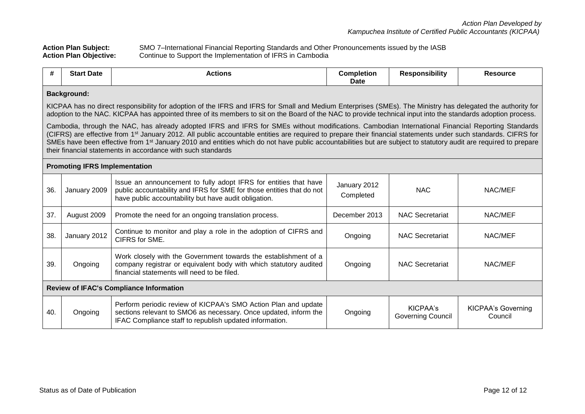**Action Plan Subject:** SMO 7–International Financial Reporting Standards and Other Pronouncements issued by the IASB **Action Plan Objective:** Continue to Support the Implementation of IFRS in Cambodia

| #                                                                                                                                                                                                                                                                                                                                                                                                                                                                                                                                                                                 | <b>Start Date</b>                              | <b>Actions</b>                                                                                                                                                                                     | <b>Completion</b><br>Date | <b>Responsibility</b>                | <b>Resource</b>                      |  |  |  |  |
|-----------------------------------------------------------------------------------------------------------------------------------------------------------------------------------------------------------------------------------------------------------------------------------------------------------------------------------------------------------------------------------------------------------------------------------------------------------------------------------------------------------------------------------------------------------------------------------|------------------------------------------------|----------------------------------------------------------------------------------------------------------------------------------------------------------------------------------------------------|---------------------------|--------------------------------------|--------------------------------------|--|--|--|--|
| <b>Background:</b>                                                                                                                                                                                                                                                                                                                                                                                                                                                                                                                                                                |                                                |                                                                                                                                                                                                    |                           |                                      |                                      |  |  |  |  |
| KICPAA has no direct responsibility for adoption of the IFRS and IFRS for Small and Medium Enterprises (SMEs). The Ministry has delegated the authority for<br>adoption to the NAC. KICPAA has appointed three of its members to sit on the Board of the NAC to provide technical input into the standards adoption process.                                                                                                                                                                                                                                                      |                                                |                                                                                                                                                                                                    |                           |                                      |                                      |  |  |  |  |
| Cambodia, through the NAC, has already adopted IFRS and IFRS for SMEs without modifications. Cambodian International Financial Reporting Standards<br>(CIFRS) are effective from 1 <sup>st</sup> January 2012. All public accountable entities are required to prepare their financial statements under such standards. CIFRS for<br>SMEs have been effective from 1 <sup>st</sup> January 2010 and entities which do not have public accountabilities but are subject to statutory audit are required to prepare<br>their financial statements in accordance with such standards |                                                |                                                                                                                                                                                                    |                           |                                      |                                      |  |  |  |  |
| <b>Promoting IFRS Implementation</b>                                                                                                                                                                                                                                                                                                                                                                                                                                                                                                                                              |                                                |                                                                                                                                                                                                    |                           |                                      |                                      |  |  |  |  |
| 36.                                                                                                                                                                                                                                                                                                                                                                                                                                                                                                                                                                               | January 2009                                   | Issue an announcement to fully adopt IFRS for entities that have<br>public accountability and IFRS for SME for those entities that do not<br>have public accountability but have audit obligation. | January 2012<br>Completed | <b>NAC</b>                           | NAC/MEF                              |  |  |  |  |
| 37.                                                                                                                                                                                                                                                                                                                                                                                                                                                                                                                                                                               | August 2009                                    | Promote the need for an ongoing translation process.                                                                                                                                               | December 2013             | <b>NAC Secretariat</b>               | NAC/MEF                              |  |  |  |  |
| 38.                                                                                                                                                                                                                                                                                                                                                                                                                                                                                                                                                                               | January 2012                                   | Continue to monitor and play a role in the adoption of CIFRS and<br>CIFRS for SME.                                                                                                                 | Ongoing                   | <b>NAC Secretariat</b>               | NAC/MEF                              |  |  |  |  |
| 39.                                                                                                                                                                                                                                                                                                                                                                                                                                                                                                                                                                               | Ongoing                                        | Work closely with the Government towards the establishment of a<br>company registrar or equivalent body with which statutory audited<br>financial statements will need to be filed.                | Ongoing                   | <b>NAC Secretariat</b>               | NAC/MEF                              |  |  |  |  |
|                                                                                                                                                                                                                                                                                                                                                                                                                                                                                                                                                                                   | <b>Review of IFAC's Compliance Information</b> |                                                                                                                                                                                                    |                           |                                      |                                      |  |  |  |  |
| 40.                                                                                                                                                                                                                                                                                                                                                                                                                                                                                                                                                                               | Ongoing                                        | Perform periodic review of KICPAA's SMO Action Plan and update<br>sections relevant to SMO6 as necessary. Once updated, inform the<br>IFAC Compliance staff to republish updated information.      | Ongoing                   | KICPAA's<br><b>Governing Council</b> | <b>KICPAA's Governing</b><br>Council |  |  |  |  |